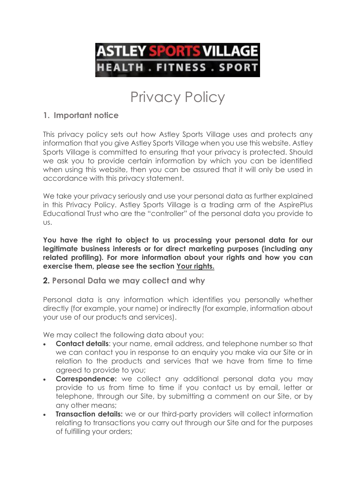

# Privacy Policy

# **1. Important notice**

This privacy policy sets out how Astley Sports Village uses and protects any information that you give Astley Sports Village when you use this website. Astley Sports Village is committed to ensuring that your privacy is protected. Should we ask you to provide certain information by which you can be identified when using this website, then you can be assured that it will only be used in accordance with this privacy statement.

We take your privacy seriously and use your personal data as further explained in this Privacy Policy. Astley Sports Village is a trading arm of the AspirePlus Educational Trust who are the "controller" of the personal data you provide to us.

**You have the right to object to us processing your personal data for our legitimate business interests or for direct marketing purposes (including any related profiling). For more information about your rights and how you can exercise them, please see the section Your rights.**

#### **2. Personal Data we may collect and why**

Personal data is any information which identifies you personally whether directly (for example, your name) or indirectly (for example, information about your use of our products and services).

We may collect the following data about you:

- **Contact details**: your name, email address, and telephone number so that we can contact you in response to an enquiry you make via our Site or in relation to the products and services that we have from time to time agreed to provide to you;
- **Correspondence:** we collect any additional personal data you may provide to us from time to time if you contact us by email, letter or telephone, through our Site, by submitting a comment on our Site, or by any other means;
- **Transaction details:** we or our third-party providers will collect information relating to transactions you carry out through our Site and for the purposes of fulfilling your orders;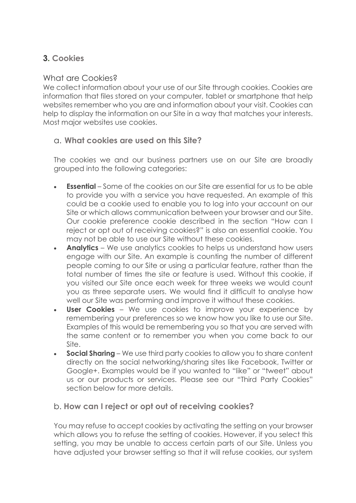# **3. Cookies**

# What are Cookies?

We collect information about your use of our Site through cookies. Cookies are information that files stored on your computer, tablet or smartphone that help websites remember who you are and information about your visit. Cookies can help to display the information on our Site in a way that matches your interests. Most major websites use cookies.

# a. **What cookies are used on this Site?**

The cookies we and our business partners use on our Site are broadly grouped into the following categories:

- **Essential** Some of the cookies on our Site are essential for us to be able to provide you with a service you have requested. An example of this could be a cookie used to enable you to log into your account on our Site or which allows communication between your browser and our Site. Our cookie preference cookie described in the section "How can I reject or opt out of receiving cookies?" is also an essential cookie. You may not be able to use our Site without these cookies.
- **Analytics** We use analytics cookies to helps us understand how users engage with our Site. An example is counting the number of different people coming to our Site or using a particular feature, rather than the total number of times the site or feature is used. Without this cookie, if you visited our Site once each week for three weeks we would count you as three separate users. We would find it difficult to analyse how well our Site was performing and improve it without these cookies.
- **User Cookies** We use cookies to improve your experience by remembering your preferences so we know how you like to use our Site. Examples of this would be remembering you so that you are served with the same content or to remember you when you come back to our Site.
- **Social Sharing** We use third party cookies to allow you to share content directly on the social networking/sharing sites like Facebook, Twitter or Google+. Examples would be if you wanted to "like" or "tweet" about us or our products or services. Please see our "Third Party Cookies" section below for more details.

# b. **How can I reject or opt out of receiving cookies?**

You may refuse to accept cookies by activating the setting on your browser which allows you to refuse the setting of cookies. However, if you select this setting, you may be unable to access certain parts of our Site. Unless you have adjusted your browser setting so that it will refuse cookies, our system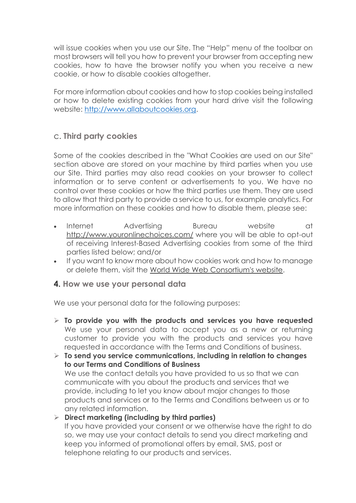will issue cookies when you use our Site. The "Help" menu of the toolbar on most browsers will tell you how to prevent your browser from accepting new cookies, how to have the browser notify you when you receive a new cookie, or how to disable cookies altogether.

For more information about cookies and how to stop cookies being installed or how to delete existing cookies from your hard drive visit the following website: [http://www.allaboutcookies.org.](http://www.allaboutcookies.org/)

#### c. **Third party cookies**

Some of the cookies described in the "What Cookies are used on our Site" section above are stored on your machine by third parties when you use our Site. Third parties may also read cookies on your browser to collect information or to serve content or advertisements to you. We have no control over these cookies or how the third parties use them. They are used to allow that third party to provide a service to us, for example analytics. For more information on these cookies and how to disable them, please see:

- Internet Advertising Bureau website at <http://www.youronlinechoices.com/> where you will be able to opt-out of receiving Interest-Based Advertising cookies from some of the third parties listed below; and/or
- If you want to know more about how cookies work and how to manage or delete them, visit the [World Wide Web Consortium's website.](http://www.w3.org/Security/Faq/wwwsf2.html#CLT-Q10.)

#### **4. How we use your personal data**

We use your personal data for the following purposes:

 **To provide you with the products and services you have requested** We use your personal data to accept you as a new or returning customer to provide you with the products and services you have requested in accordance with the Terms and Conditions of business.

 **To send you service communications, including in relation to changes to our Terms and Conditions of Business** We use the contact details you have provided to us so that we can communicate with you about the products and services that we provide, including to let you know about major changes to those products and services or to the Terms and Conditions between us or to any related information.

#### **Direct marketing (including by third parties)** If you have provided your consent or we otherwise have the right to do so, we may use your contact details to send you direct marketing and keep you informed of promotional offers by email, SMS, post or telephone relating to our products and services.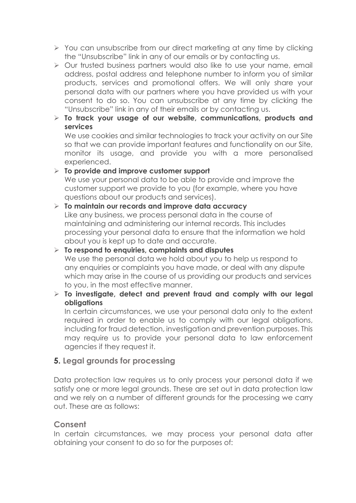- $\triangleright$  You can unsubscribe from our direct marketing at any time by clicking the "Unsubscribe" link in any of our emails or by contacting us.
- $\triangleright$  Our trusted business partners would also like to use your name, email address, postal address and telephone number to inform you of similar products, services and promotional offers. We will only share your personal data with our partners where you have provided us with your consent to do so. You can unsubscribe at any time by clicking the "Unsubscribe" link in any of their emails or by contacting us.

#### **To track your usage of our website, communications, products and services**

We use cookies and similar technologies to track your activity on our Site so that we can provide important features and functionality on our Site, monitor its usage, and provide you with a more personalised experienced.

 **To provide and improve customer support** We use your personal data to be able to provide and improve the customer support we provide to you (for example, where you have questions about our products and services).

- **To maintain our records and improve data accuracy** Like any business, we process personal data in the course of maintaining and administering our internal records. This includes processing your personal data to ensure that the information we hold about you is kept up to date and accurate.
- **To respond to enquiries, complaints and disputes** We use the personal data we hold about you to help us respond to any enquiries or complaints you have made, or deal with any dispute which may arise in the course of us providing our products and services to you, in the most effective manner.
- **To investigate, detect and prevent fraud and comply with our legal obligations**

In certain circumstances, we use your personal data only to the extent required in order to enable us to comply with our legal obligations, including for fraud detection, investigation and prevention purposes. This may require us to provide your personal data to law enforcement agencies if they request it.

# **5. Legal grounds for processing**

Data protection law requires us to only process your personal data if we satisfy one or more legal grounds. These are set out in data protection law and we rely on a number of different grounds for the processing we carry out. These are as follows:

# **Consent**

In certain circumstances, we may process your personal data after obtaining your consent to do so for the purposes of: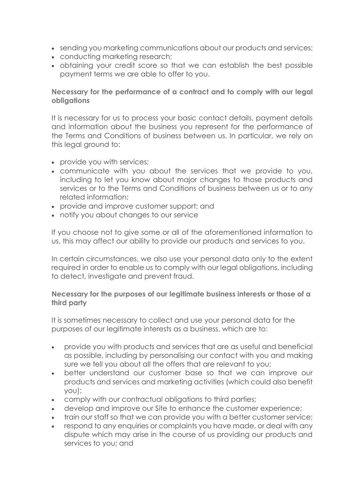- sending you marketing communications about our products and services;
- conducting marketing research;
- obtaining your credit score so that we can establish the best possible payment terms we are able to offer to you.

#### **Necessary for the performance of a contract and to comply with our legal obligations**

It is necessary for us to process your basic contact details, payment details and information about the business you represent for the performance of the Terms and Conditions of business between us. In particular, we rely on this legal ground to:

- provide you with services;
- communicate with you about the services that we provide to you, including to let you know about major changes to those products and services or to the Terms and Conditions of business between us or to any related information;
- provide and improve customer support; and
- notify you about changes to our service

If you choose not to give some or all of the aforementioned information to us, this may affect our ability to provide our products and services to you.

In certain circumstances, we also use your personal data only to the extent required in order to enable us to comply with our legal obligations, including to detect, investigate and prevent fraud.

#### **Necessary for the purposes of our legitimate business interests or those of a third party**

It is sometimes necessary to collect and use your personal data for the purposes of our legitimate interests as a business, which are to:

- provide you with products and services that are as useful and beneficial as possible, including by personalising our contact with you and making sure we tell you about all the offers that are relevant to you;
- better understand our customer base so that we can improve our products and services and marketing activities (which could also benefit you);
- comply with our contractual obligations to third parties;
- develop and improve our Site to enhance the customer experience;
- train our staff so that we can provide you with a better customer service;
- respond to any enquiries or complaints you have made, or deal with any dispute which may arise in the course of us providing our products and services to you; and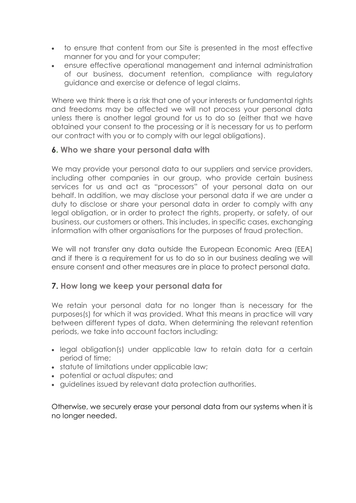- to ensure that content from our Site is presented in the most effective manner for you and for your computer;
- ensure effective operational management and internal administration of our business, document retention, compliance with regulatory guidance and exercise or defence of legal claims.

Where we think there is a risk that one of your interests or fundamental rights and freedoms may be affected we will not process your personal data unless there is another legal ground for us to do so (either that we have obtained your consent to the processing or it is necessary for us to perform our contract with you or to comply with our legal obligations).

#### **6. Who we share your personal data with**

We may provide your personal data to our suppliers and service providers, including other companies in our group, who provide certain business services for us and act as "processors" of your personal data on our behalf. In addition, we may disclose your personal data if we are under a duty to disclose or share your personal data in order to comply with any legal obligation, or in order to protect the rights, property, or safety, of our business, our customers or others. This includes, in specific cases, exchanging information with other organisations for the purposes of fraud protection.

We will not transfer any data outside the European Economic Area (EEA) and if there is a requirement for us to do so in our business dealing we will ensure consent and other measures are in place to protect personal data.

# **7. How long we keep your personal data for**

We retain your personal data for no longer than is necessary for the purposes(s) for which it was provided. What this means in practice will vary between different types of data. When determining the relevant retention periods, we take into account factors including:

- legal obligation(s) under applicable law to retain data for a certain period of time;
- statute of limitations under applicable law;
- potential or actual disputes; and
- guidelines issued by relevant data protection authorities.

Otherwise, we securely erase your personal data from our systems when it is no longer needed.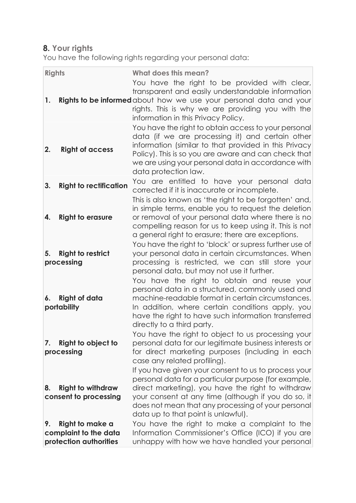# **8. Your rights**

You have the following rights regarding your personal data:

| <b>Rights</b>                                                            |                               | <b>What does this mean?</b>                                                                                                                                                                                                                                                                                           |
|--------------------------------------------------------------------------|-------------------------------|-----------------------------------------------------------------------------------------------------------------------------------------------------------------------------------------------------------------------------------------------------------------------------------------------------------------------|
| 1.                                                                       |                               | You have the right to be provided with clear,<br>transparent and easily understandable information<br><b>Rights to be informed</b> about how we use your personal data and your<br>rights. This is why we are providing you with the<br>information in this Privacy Policy.                                           |
| <b>Right of access</b><br>2.                                             |                               | You have the right to obtain access to your personal<br>data (if we are processing it) and certain other<br>information (similar to that provided in this Privacy<br>Policy). This is so you are aware and can check that<br>we are using your personal data in accordance with<br>data protection law.               |
| 3.                                                                       | <b>Right to rectification</b> | You are entitled to have your personal data<br>corrected if it is inaccurate or incomplete.<br>This is also known as 'the right to be forgotten' and,                                                                                                                                                                 |
| <b>Right to erasure</b><br>4.                                            |                               | in simple terms, enable you to request the deletion<br>or removal of your personal data where there is no<br>compelling reason for us to keep using it. This is not<br>a general right to erasure; there are exceptions.                                                                                              |
| <b>Right to restrict</b><br>5.<br>processing                             |                               | You have the right to 'block' or supress further use of<br>your personal data in certain circumstances. When<br>processing is restricted, we can still store your<br>personal data, but may not use it further.                                                                                                       |
| <b>Right of data</b><br>6.<br>portability                                |                               | You have the right to obtain and reuse your<br>personal data in a structured, commonly used and<br>machine-readable format in certain circumstances.<br>In addition, where certain conditions apply, you<br>have the right to have such information transferred<br>directly to a third party.                         |
| Right to object to<br>7.<br>processing                                   |                               | You have the right to object to us processing your<br>personal data for our legitimate business interests or<br>for direct marketing purposes (including in each<br>case any related profiling).                                                                                                                      |
| <b>Right to withdraw</b><br>8.<br>consent to processing                  |                               | If you have given your consent to us to process your<br>personal data for a particular purpose (for example,<br>direct marketing), you have the right to withdraw<br>your consent at any time (although if you do so, it<br>does not mean that any processing of your personal<br>data up to that point is unlawful). |
| Right to make a<br>9.<br>complaint to the data<br>protection authorities |                               | You have the right to make a complaint to the<br>Information Commissioner's Office (ICO) if you are<br>unhappy with how we have handled your personal                                                                                                                                                                 |